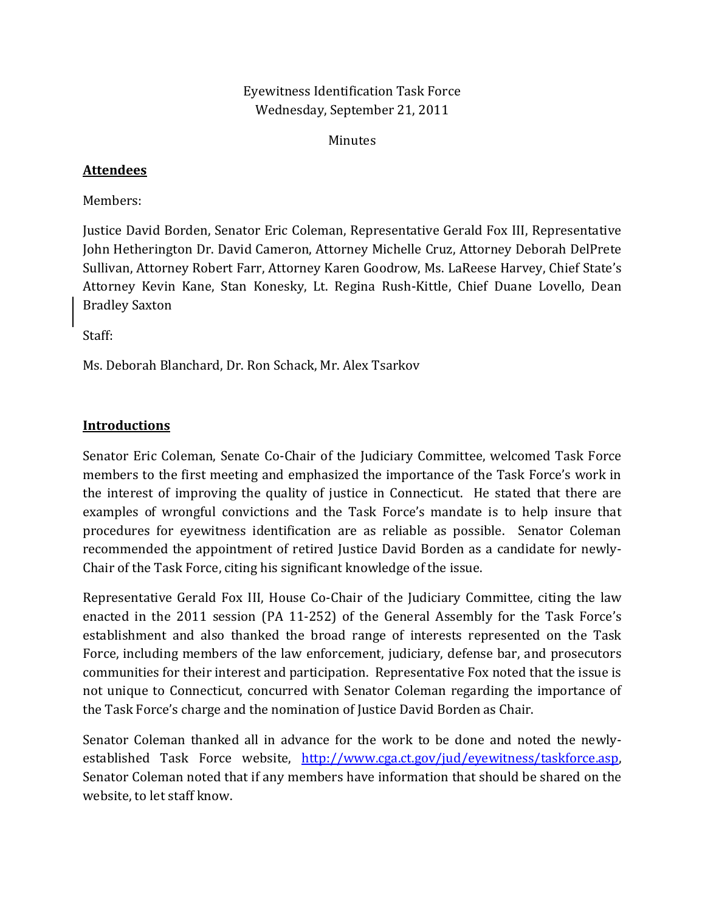# Eyewitness Identification Task Force Wednesday, September 21, 2011

Minutes

## **Attendees**

Members:

Justice David Borden, Senator Eric Coleman, Representative Gerald Fox III, Representative John Hetherington Dr. David Cameron, Attorney Michelle Cruz, Attorney Deborah DelPrete Sullivan, Attorney Robert Farr, Attorney Karen Goodrow, Ms. LaReese Harvey, Chief State's Attorney Kevin Kane, Stan Konesky, Lt. Regina Rush‐Kittle, Chief Duane Lovello, Dean Bradley Saxton

Staff:

Ms. Deborah Blanchard, Dr. Ron Schack, Mr. Alex Tsarkov

## **Introductions**

Senator Eric Coleman, Senate Co-Chair of the Judiciary Committee, welcomed Task Force members to the first meeting and emphasized the importance of the Task Force's work in the interest of improving the quality of justice in Connecticut. He stated that there are examples of wrongful convictions and the Task Force's mandate is to help insure that procedures for eyewitness identification are as reliable as possible. Senator Coleman recommended the appointment of retired Justice David Borden as a candidate for newly-Chair of the Task Force, citing his significant knowledge of the issue.

Representative Gerald Fox III, House Co-Chair of the Judiciary Committee, citing the law enacted in the 2011 session (PA 11-252) of the General Assembly for the Task Force's establishment and also thanked the broad range of interests represented on the Task Force, including members of the law enforcement, judiciary, defense bar, and prosecutors communities for their interest and participation. Representative Fox noted that the issue is not unique to Connecticut, concurred with Senator Coleman regarding the importance of the Task Force's charge and the nomination of Justice David Borden as Chair.

Senator Coleman thanked all in advance for the work to be done and noted the newlyestablished Task Force website, http://www.cga.ct.gov/jud/eyewitness/taskforce.asp, Senator Coleman noted that if any m[embers have information that should be shared on the](http://www.cga.ct.gov/jud/eyewitness/taskforce.asp) website, to let staff know.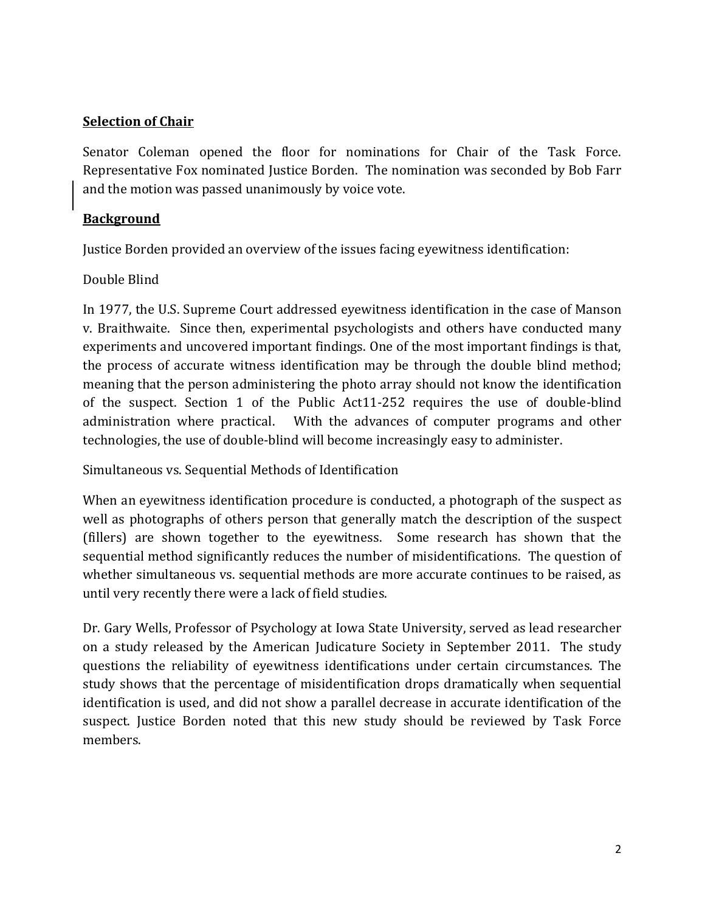## **Selection of Chair**

Senator Coleman opened the floor for nominations for Chair of the Task Force. Representative Fox nominated Justice Borden. The nomination was seconded by Bob Farr and the motion was passed unanimously by voice vote.

## **Background**

Justice Borden provided an overview of the issues facing eyewitness identification:

## Double Blind

In 1977, the U.S. Supreme Court addressed eyewitness identification in the case of Manson v. Braithwaite. Since then, experimental psychologists and others have conducted many experiments and uncovered important findings. One of the most important findings is that, the process of accurate witness identification may be through the double blind method; meaning that the person administering the photo array should not know the identification of the suspect. Section 1 of the Public Act11‐252 requires the use of double‐blind administration where practical. With the advances of computer programs and other technologies, the use of double‐blind will become increasingly easy to administer.

Simultaneous vs. Sequential Methods of Identification

When an eyewitness identification procedure is conducted, a photograph of the suspect as well as photographs of others person that generally match the description of the suspect (fillers) are shown together to the eyewitness. Some research has shown that the sequential method significantly reduces the number of misidentifications. The question of whether simultaneous vs. sequential methods are more accurate continues to be raised, as until very recently there were a lack of field studies.

Dr. Gary Wells, Professor of Psychology at Iowa State University, served as lead researcher on a study released by the American Judicature Society in September 2011. The study questions the reliability of eyewitness identifications under certain circumstances. The study shows that the percentage of misidentification drops dramatically when sequential identification is used, and did not show a parallel decrease in accurate identification of the suspect. Justice Borden noted that this new study should be reviewed by Task Force members.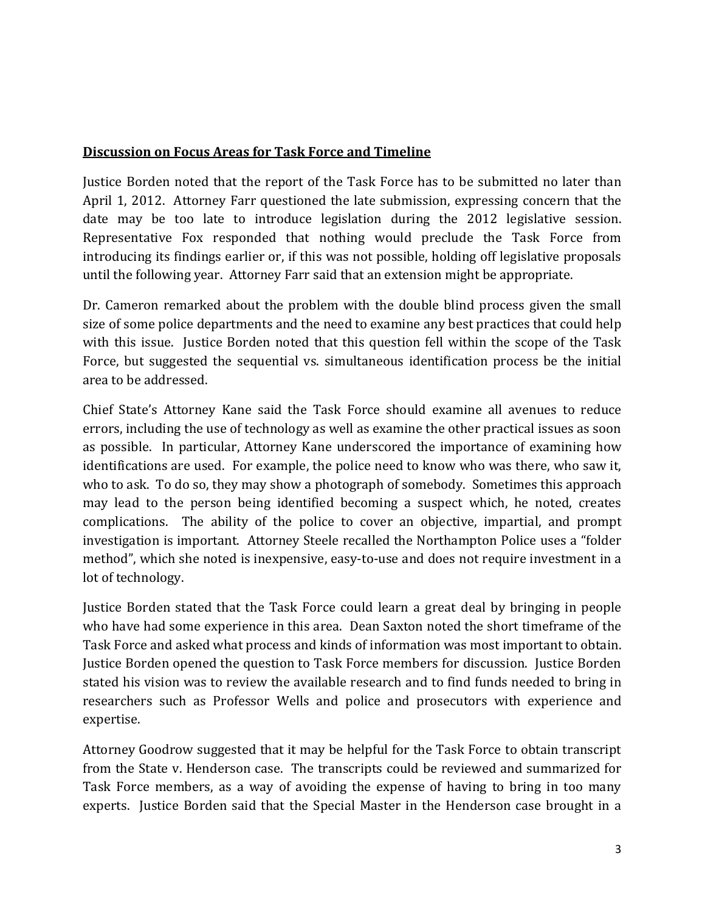## **Discussion on Focus Areas for Task Force and Timeline**

Justice Borden noted that the report of the Task Force has to be submitted no later than April 1, 2012. Attorney Farr questioned the late submission, expressing concern that the date may be too late to introduce legislation during the 2012 legislative session. Representative Fox responded that nothing would preclude the Task Force from introducing its findings earlier or, if this was not possible, holding off legislative proposals until the following year. Attorney Farr said that an extension might be appropriate.

Dr. Cameron remarked about the problem with the double blind process given the small size of some police departments and the need to examine any best practices that could help with this issue. Justice Borden noted that this question fell within the scope of the Task Force, but suggested the sequential vs. simultaneous identification process be the initial area to be addressed.

Chief State's Attorney Kane said the Task Force should examine all avenues to reduce errors, including the use of technology as well as examine the other practical issues as soon as possible. In particular, Attorney Kane underscored the importance of examining how identifications are used. For example, the police need to know who was there, who saw it, who to ask. To do so, they may show a photograph of somebody. Sometimes this approach may lead to the person being identified becoming a suspect which, he noted, creates complications. The ability of the police to cover an objective, impartial, and prompt investigation is important. Attorney Steele recalled the Northampton Police uses a "folder method", which she noted is inexpensive, easy-to-use and does not require investment in a lot of technology.

Justice Borden stated that the Task Force could learn a great deal by bringing in people who have had some experience in this area. Dean Saxton noted the short timeframe of the Task Force and asked what process and kinds of information was most important to obtain. Justice Borden opened the question to Task Force members for discussion. Justice Borden stated his vision was to review the available research and to find funds needed to bring in researchers such as Professor Wells and police and prosecutors with experience and expertise.

Attorney Goodrow suggested that it may be helpful for the Task Force to obtain transcript from the State v. Henderson case. The transcripts could be reviewed and summarized for Task Force members, as a way of avoiding the expense of having to bring in too many experts. Justice Borden said that the Special Master in the Henderson case brought in a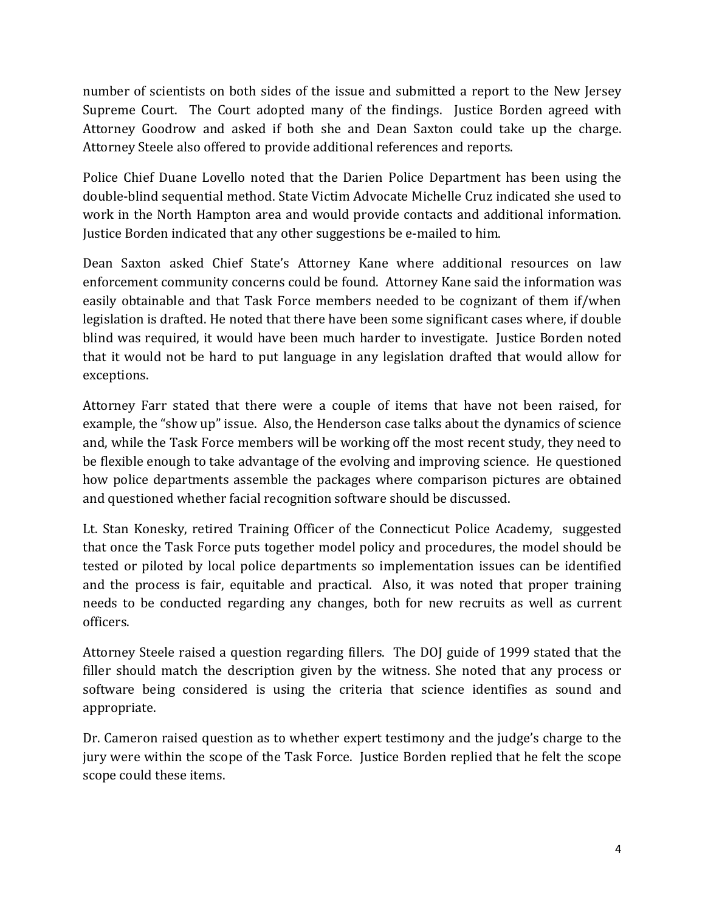number of scientists on both sides of the issue and submitted a report to the New Jersey Supreme Court. The Court adopted many of the findings. Justice Borden agreed with Attorney Goodrow and asked if both she and Dean Saxton could take up the charge. Attorney Steele also offered to provide additional references and reports.

Police Chief Duane Lovello noted that the Darien Police Department has been using the double‐blind sequential method. State Victim Advocate Michelle Cruz indicated she used to work in the North Hampton area and would provide contacts and additional information. Justice Borden indicated that any other suggestions be e‐mailed to him.

Dean Saxton asked Chief State's Attorney Kane where additional resources on law enforcement community concerns could be found. Attorney Kane said the information was easily obtainable and that Task Force members needed to be cognizant of them if/when legislation is drafted. He noted that there have been some significant cases where, if double blind was required, it would have been much harder to investigate. Justice Borden noted that it would not be hard to put language in any legislation drafted that would allow for exceptions.

Attorney Farr stated that there were a couple of items that have not been raised, for example, the "show up" issue. Also, the Henderson case talks about the dynamics of science and, while the Task Force members will be working off the most recent study, they need to be flexible enough to take advantage of the evolving and improving science. He questioned how police departments assemble the packages where comparison pictures are obtained and questioned whether facial recognition software should be discussed.

Lt. Stan Konesky, retired Training Officer of the Connecticut Police Academy, suggested that once the Task Force puts together model policy and procedures, the model should be tested or piloted by local police departments so implementation issues can be identified and the process is fair, equitable and practical. Also, it was noted that proper training needs to be conducted regarding any changes, both for new recruits as well as current officers.

Attorney Steele raised a question regarding fillers. The DOJ guide of 1999 stated that the filler should match the description given by the witness. She noted that any process or software being considered is using the criteria that science identifies as sound and appropriate.

Dr. Cameron raised question as to whether expert testimony and the judge's charge to the jury were within the scope of the Task Force. Justice Borden replied that he felt the scope scope could these items.